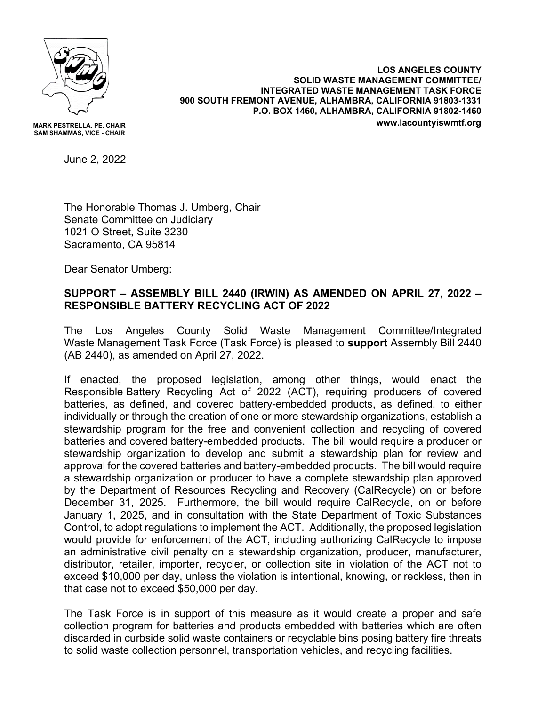

**MARK PESTRELLA, PE, CHAIR SAM SHAMMAS, VICE - CHAIR**

June 2, 2022

The Honorable Thomas J. Umberg, Chair Senate Committee on Judiciary 1021 O Street, Suite 3230 Sacramento, CA 95814

Dear Senator Umberg:

## **SUPPORT – ASSEMBLY BILL 2440 (IRWIN) AS AMENDED ON APRIL 27, 2022 – RESPONSIBLE BATTERY RECYCLING ACT OF 2022**

The Los Angeles County Solid Waste Management Committee/Integrated Waste Management Task Force (Task Force) is pleased to **support** Assembly Bill 2440 (AB 2440), as amended on April 27, 2022.

If enacted, the proposed legislation, among other things, would enact the Responsible Battery Recycling Act of 2022 (ACT), requiring producers of covered batteries, as defined, and covered battery-embedded products, as defined, to either individually or through the creation of one or more stewardship organizations, establish a stewardship program for the free and convenient collection and recycling of covered batteries and covered battery-embedded products. The bill would require a producer or stewardship organization to develop and submit a stewardship plan for review and approval for the covered batteries and battery-embedded products. The bill would require a stewardship organization or producer to have a complete stewardship plan approved by the Department of Resources Recycling and Recovery (CalRecycle) on or before December 31, 2025. Furthermore, the bill would require CalRecycle, on or before January 1, 2025, and in consultation with the State Department of Toxic Substances Control, to adopt regulations to implement the ACT. Additionally, the proposed legislation would provide for enforcement of the ACT, including authorizing CalRecycle to impose an administrative civil penalty on a stewardship organization, producer, manufacturer, distributor, retailer, importer, recycler, or collection site in violation of the ACT not to exceed \$10,000 per day, unless the violation is intentional, knowing, or reckless, then in that case not to exceed \$50,000 per day.

The Task Force is in support of this measure as it would create a proper and safe collection program for batteries and products embedded with batteries which are often discarded in curbside solid waste containers or recyclable bins posing battery fire threats to solid waste collection personnel, transportation vehicles, and recycling facilities.

**LOS ANGELES COUNTY SOLID WASTE MANAGEMENT COMMITTEE/ INTEGRATED WASTE MANAGEMENT TASK FORCE 900 SOUTH FREMONT AVENUE, ALHAMBRA, CALIFORNIA 91803-1331 P.O. BOX 1460, ALHAMBRA, CALIFORNIA 91802-1460 www.lacountyiswmtf.org**